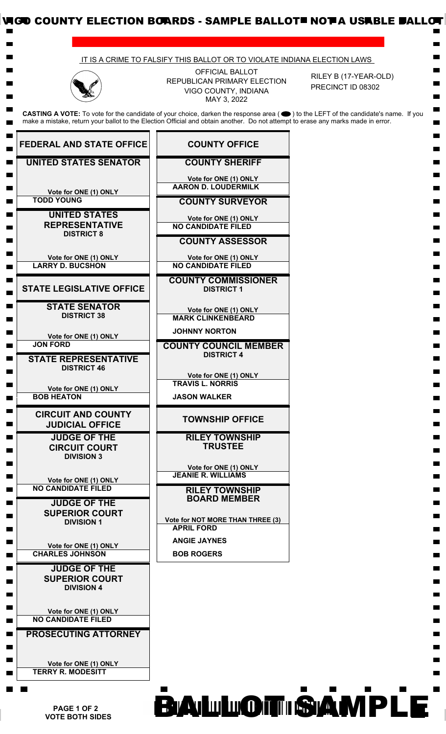